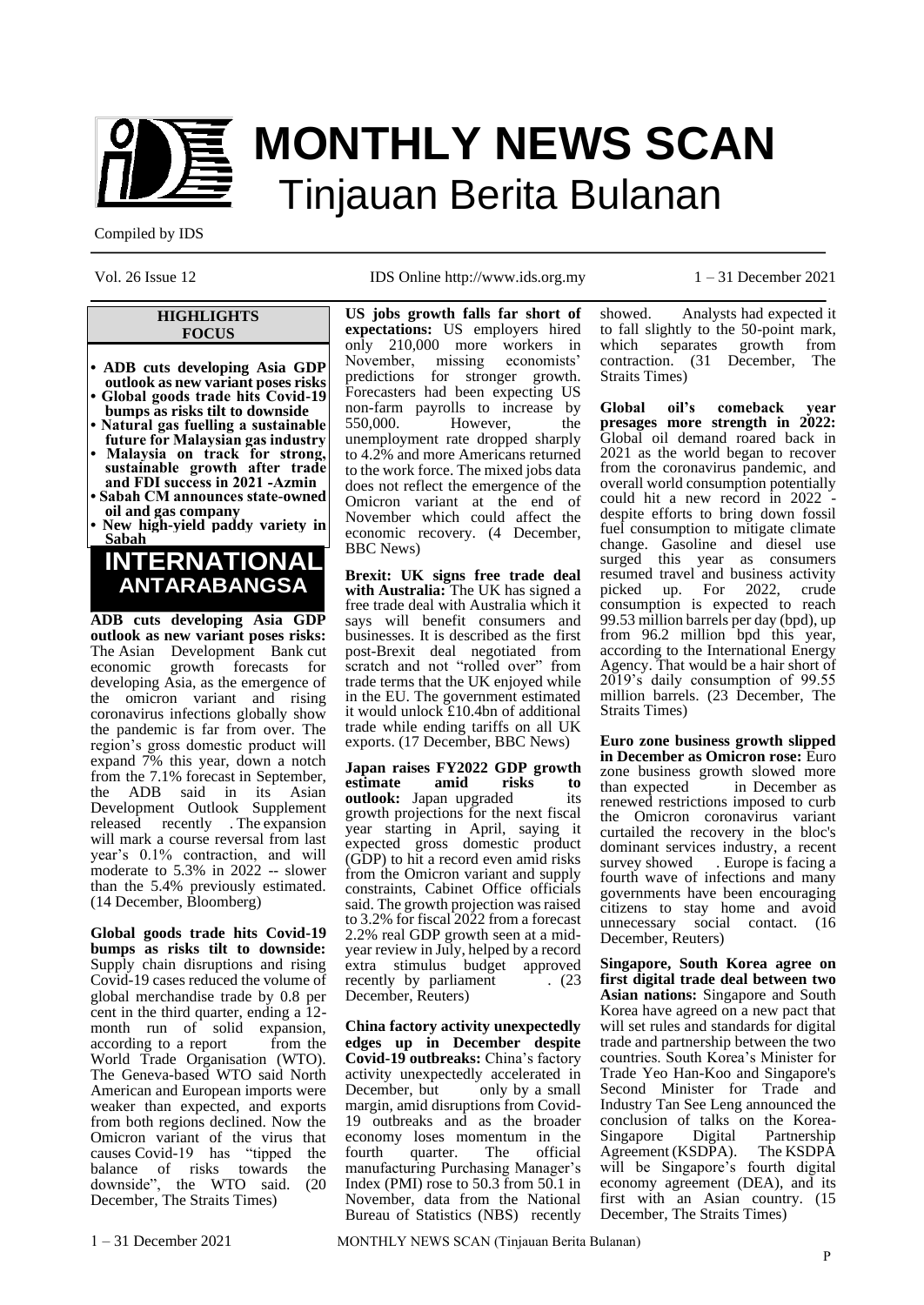

# **MONTHLY NEWS SCAN** Tinjauan Berita Bulanan

Compiled by IDS

#### **HIGHLIGHTS FOCUS**

**• ADB cuts developing Asia GDP outlook as new variant poses risks • Global goods trade hits Covid-19** 

- **bumps as risks tilt to downside • Natural gas fuelling a sustainable**
- **future for Malaysian gas industry • Malaysia on track for strong, sustainable growth after trade**
- **and FDI success in 2021 -Azmin • Sabah CM announces state-owned oil and gas company**
- **• New high-yield paddy variety in Sabah**

### **ANTARABANGSA INTERNATIONAL**

**ADB cuts developing Asia GDP outlook as new variant poses risks:** The [Asian Development Bank](https://www.bloomberg.com/quote/81074Z:PM) cut economic growth forecasts for developing Asia, as the emergence of the omicron variant and rising coronavirus infections globally show the pandemic is far from over. The region's gross domestic product will expand 7% this year, down a notch from the 7.1% [forecast](https://www.bloomberg.com/news/articles/2021-09-22/adb-cuts-developing-asia-growth-outlook-as-recovery-paths-split) in September, the ADB said in its Asian Development Outlook Supplement released recently . The expansion will mark a course reversal from last year's 0.1% contraction, and will moderate to 5.3% in 2022 -- slower than the 5.4% previously estimated. (14 December, Bloomberg)

**Global goods trade hits Covid-19 bumps as risks tilt to downside:** Supply chain disruptions and rising Covid-19 cases reduced the volume of global merchandise trade by 0.8 per cent in the third quarter, ending a 12 month run of solid expansion,<br>according to a report from the according to a report World Trade Organisation (WTO). The Geneva-based WTO said North American and European imports were weaker than expected, and exports from both regions declined. Now the Omicron variant of the virus that causes Covid-19 has "tipped the balance of risks towards the downside", the WTO said. (20 December, The Straits Times)

Vol. 26 Issue 12 IDS Online http://www.ids.org.my 1 – 31 December 2021

**US jobs growth falls far short of expectations:** US employers hired only 210,000 more workers in November, missing economists' predictions for stronger growth. Forecasters had been expecting US non-farm payrolls to increase by<br>550,000. However, the However, the unemployment rate dropped sharply to 4.2% and more Americans returned to the work force. The mixed jobs data does not reflect the emergence of the Omicron variant at the end of November which could affect the economic recovery. (4 December, BBC News)

**Brexit: UK signs free trade deal with Australia:** The UK has signed a free trade deal with Australia which it says will benefit consumers and businesses. It is described as the first post-Brexit deal negotiated from scratch and not "rolled over" from trade terms that the UK enjoyed while in the EU. The government estimated it would unlock £10.4bn of additional trade while ending tariffs on all UK exports. (17 December, BBC News)

**Japan raises FY2022 GDP growth estimate amid risks to outlook:** Japan upgraded its growth projections for the next fiscal year starting in April, saying it expected gross domestic product (GDP) to hit a record even amid risks from the Omicron variant and supply constraints, Cabinet Office officials said. The growth projection was raised to 3.2% for fiscal 2022 from a forecast 2.2% real GDP growth seen at a midyear review in July, helped by a record extra stimulus budget approved recently by parliament . (23) December, Reuters)

**China factory activity unexpectedly edges up in December despite Covid-19 outbreaks:** China's factory activity unexpectedly accelerated in December, but only by a small margin, amid disruptions from Covid-19 outbreaks and as the broader economy loses momentum in the<br>fourth quarter. The official fourth quarter. manufacturing Purchasing Manager's Index (PMI) rose to 50.3 from 50.1 in November, data from the National Bureau of Statistics (NBS) recently showed. Analysts had expected it to fall slightly to the 50-point mark, which separates growth from contraction. (31 December, The Straits Times)

**Global oil's comeback year presages more strength in 2022:** Global oil demand roared back in 2021 as the world began to recover from the coronavirus pandemic, and overall world consumption potentially could hit a new record in 2022 despite efforts to bring down fossil fuel consumption to mitigate climate change. Gasoline and diesel use surged this year as consumers resumed travel and business activity picked up. For 2022, crude consumption is expected to reach 99.53 million barrels per day (bpd), up from 96.2 million bpd this year, according to the International Energy Agency. That would be a hair short of 2019's daily consumption of 99.55 million barrels. (23 December, The Straits Times)

**Euro zone business growth slipped in December as Omicron rose:** Euro zone business growth slowed more<br>than expected in December as in December as renewed restrictions imposed to curb the Omicron coronavirus variant curtailed the recovery in the bloc's dominant services industry, a recent survey showed . Europe is facing a fourth wave of infections and many governments have been encouraging citizens to stay home and avoid unnecessary social contact. (16 December, Reuters)

**Singapore, South Korea agree on first digital trade deal between two Asian nations:** Singapore and South Korea have agreed on a new pact that will set rules and standards for digital trade and partnership between the two countries. South Korea's Minister for Trade Yeo Han-Koo and Singapore's Second Minister for Trade and Industry Tan See Leng announced the conclusion of talks on the Korea-<br>Singapore Digital Partnership Singapore Agreement (KSDPA). The KSDPA will be Singapore's fourth digital economy agreement (DEA), and its first with an Asian country. (15 December, The Straits Times)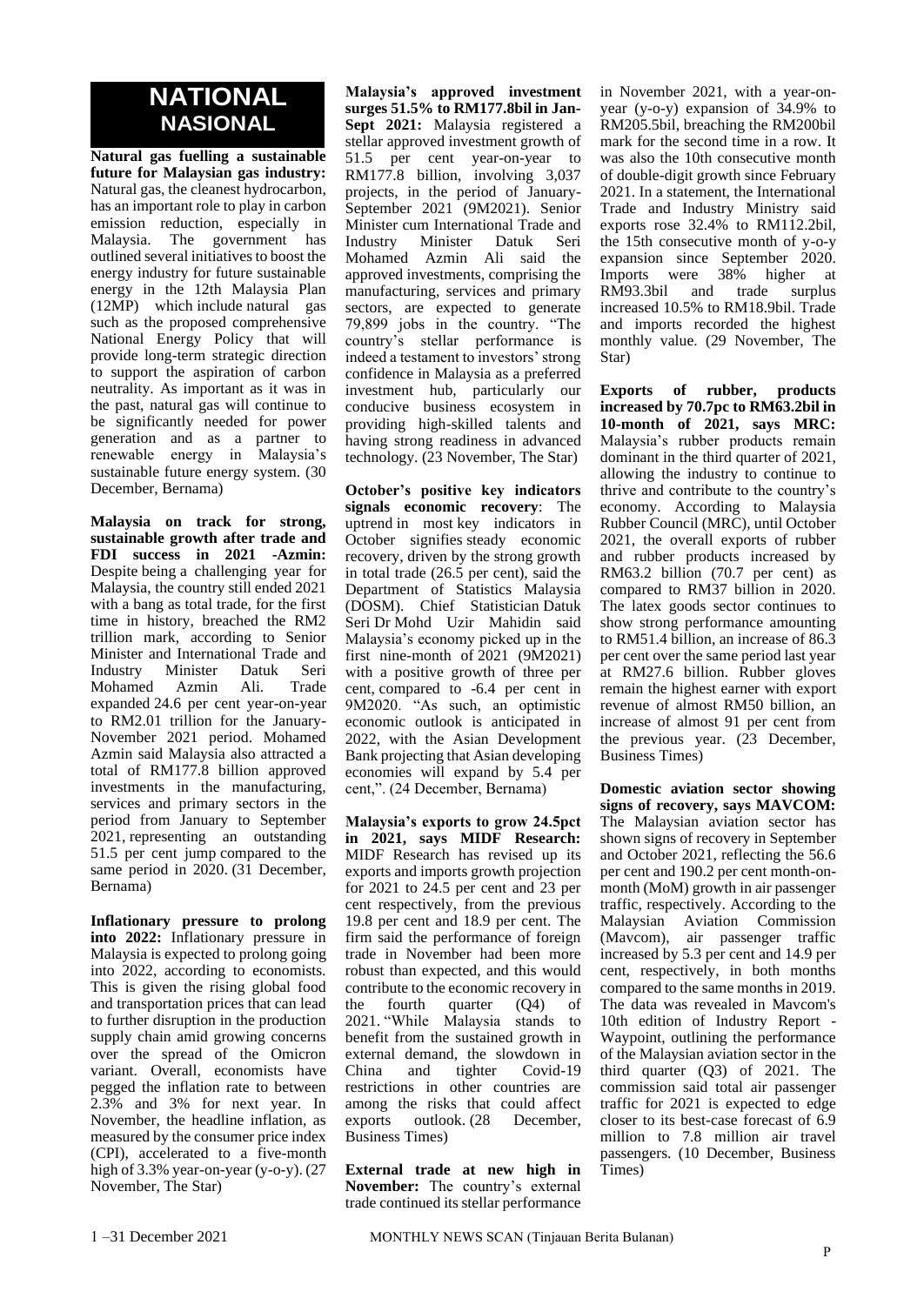### **NATIONAL NASIONAL**

**Natural gas fuelling a sustainable future for Malaysian gas industry:**  Natural gas, the cleanest hydrocarbon, has an important role to play in carbon emission reduction, especially in Malaysia. The government has outlined several initiatives to boost the energy industry for future sustainable energy in the 12th Malaysia Plan (12MP) which include natural gas such as the proposed comprehensive National Energy Policy that will provide long-term strategic direction to support the aspiration of carbon neutrality. As important as it was in the past, natural gas will continue to be significantly needed for power generation and as a partner to renewable energy in Malaysia's sustainable future energy system. (30 December, Bernama)

**Malaysia on track for strong, sustainable growth after trade and FDI success in 2021 -Azmin:**  Despite being a challenging year for Malaysia, the country still ended 2021 with a bang as total trade, for the first time in history, breached the RM2 trillion mark, according to Senior Minister and International Trade and Industry Minister Datuk Seri Mohamed Azmin Ali. Trade expanded 24.6 per cent year-on-year to RM2.01 trillion for the January-November 2021 period. Mohamed Azmin said Malaysia also attracted a total of RM177.8 billion approved investments in the manufacturing, services and primary sectors in the period from January to September 2021, representing an outstanding 51.5 per cent jump compared to the same period in 2020. (31 December, Bernama)

**Inflationary pressure to prolong into 2022:** Inflationary pressure in Malaysia is expected to prolong going into 2022, according to economists. This is given the rising global food and transportation prices that can lead to further disruption in the production supply chain amid growing concerns over the spread of the Omicron variant. Overall, economists have pegged the inflation rate to between 2.3% and 3% for next year. In November, the headline inflation, as measured by the consumer price index (CPI), accelerated to a five-month high of 3.3% year-on-year (y-o-y). (27 November, The Star)

**Malaysia's approved investment surges 51.5% to RM177.8bil in Jan-Sept 2021:** Malaysia registered a stellar approved investment growth of 51.5 per cent year-on-year to RM177.8 billion, involving 3,037 projects, in the period of January-September 2021 (9M2021). Senior Minister cum International Trade and Industry Minister Datuk Seri Mohamed Azmin Ali said the approved investments, comprising the manufacturing, services and primary sectors, are expected to generate 79,899 jobs in the country. "The country's stellar performance is indeed a testament to investors' strong confidence in Malaysia as a preferred investment hub, particularly our conducive business ecosystem in providing high-skilled talents and having strong readiness in advanced technology. (23 November, The Star)

**October's positive key indicators signals economic recovery**: The uptrend in most key indicators in October signifies steady economic recovery, driven by the strong growth in total trade (26.5 per cent), said the Department of Statistics Malaysia (DOSM). Chief Statistician Datuk Seri Dr Mohd Uzir Mahidin said Malaysia's economy picked up in the first nine-month of 2021 (9M2021) with a positive growth of three per cent, compared to -6.4 per cent in 9M2020. "As such, an optimistic economic outlook is anticipated in 2022, with the Asian Development Bank projecting that Asian developing economies will expand by 5.4 per cent,". (24 December, Bernama)

**Malaysia's exports to grow 24.5pct in 2021, says MIDF Research:**  MIDF Research has revised up its exports and imports growth projection for 2021 to 24.5 per cent and 23 per cent respectively, from the previous 19.8 per cent and 18.9 per cent. The firm said the performance of foreign trade in November had been more robust than expected, and this would contribute to the economic recovery in the fourth quarter (Q4) of 2021. "While Malaysia stands to benefit from the sustained growth in external demand, the slowdown in China and tighter Covid-19 restrictions in other countries are among the risks that could affect exports outlook. (28 December, Business Times)

**External trade at new high in November:** The country's external trade continued its stellar performance

in November 2021, with a year-onyear (y-o-y) expansion of 34.9% to RM205.5bil, breaching the RM200bil mark for the second time in a row. It was also the 10th consecutive month of double-digit growth since February 2021. In a statement, the International Trade and Industry Ministry said exports rose 32.4% to RM112.2bil, the 15th consecutive month of y-o-y expansion since September 2020. Imports were 38% higher at RM93.3bil and trade surplus increased 10.5% to RM18.9bil. Trade and imports recorded the highest monthly value. (29 November, The Star)

**Exports of rubber, products increased by 70.7pc to RM63.2bil in 10-month of 2021, says MRC:**  Malaysia's rubber products remain dominant in the third quarter of 2021, allowing the industry to continue to thrive and contribute to the country's economy. According to Malaysia Rubber Council (MRC), until October 2021, the overall exports of rubber and rubber products increased by RM63.2 billion (70.7 per cent) as compared to RM37 billion in 2020. The latex goods sector continues to show strong performance amounting to RM51.4 billion, an increase of 86.3 per cent over the same period last year at RM27.6 billion. Rubber gloves remain the highest earner with export revenue of almost RM50 billion, an increase of almost 91 per cent from the previous year. (23 December, Business Times)

**Domestic aviation sector showing signs of recovery, says MAVCOM:**  The Malaysian aviation sector has shown signs of recovery in September and October 2021, reflecting the 56.6 per cent and 190.2 per cent month-onmonth (MoM) growth in air passenger traffic, respectively. According to the Malaysian Aviation Commission (Mavcom), air passenger traffic increased by 5.3 per cent and 14.9 per cent, respectively, in both months compared to the same months in 2019. The data was revealed in Mavcom's 10th edition of Industry Report - Waypoint, outlining the performance of the Malaysian aviation sector in the third quarter (Q3) of 2021. The commission said total air passenger traffic for 2021 is expected to edge closer to its best-case forecast of 6.9 million to 7.8 million air travel passengers. (10 December, Business Times)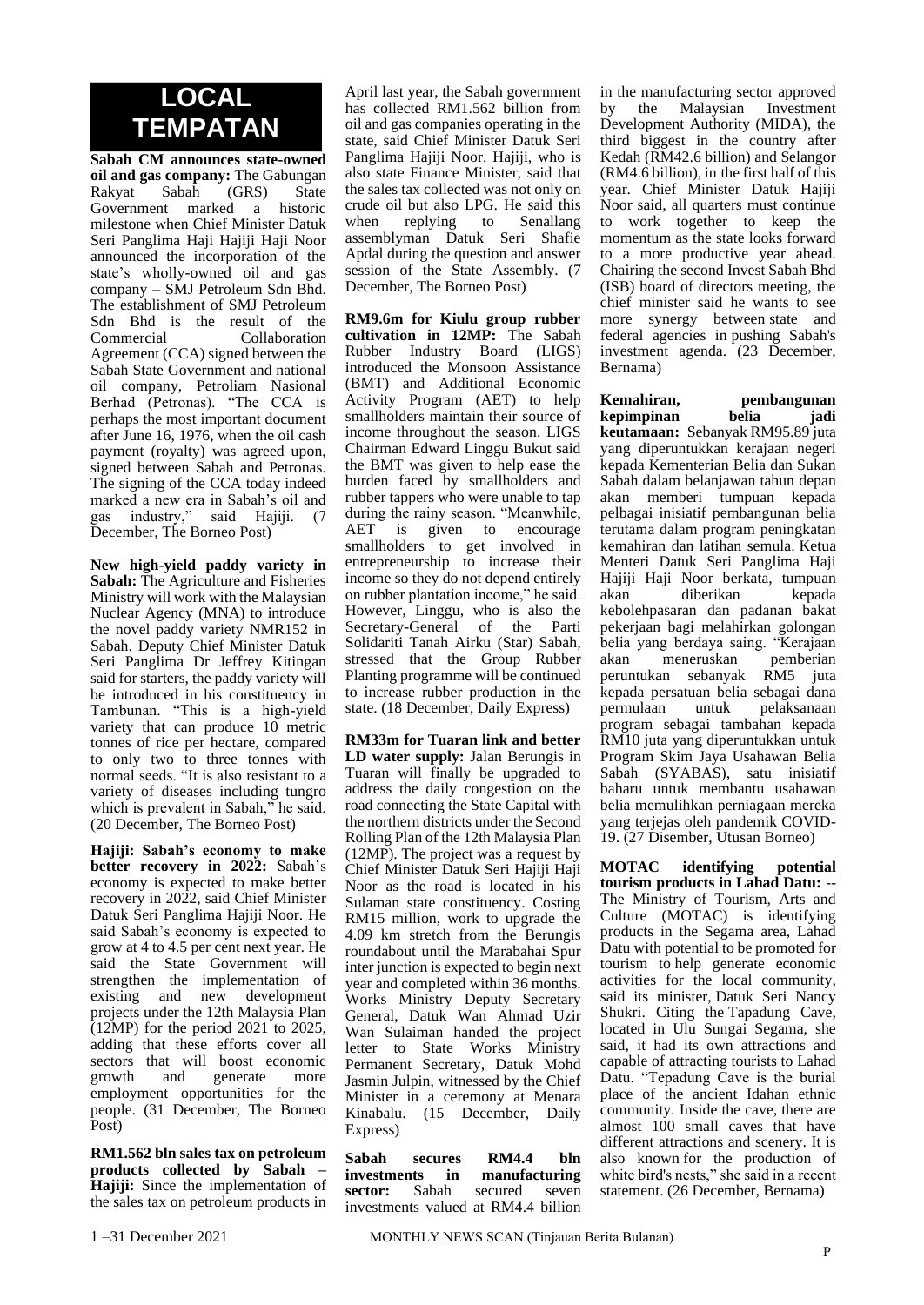### **LOCAL TEMPATAN**

**Sabah CM announces state-owned oil and gas company:** The Gabungan<br>Rakvat Sabah (GRS) State  $\Gamma(GRS)$ Government marked a historic milestone when Chief Minister Datuk Seri Panglima Haji Hajiji Haji Noor announced the incorporation of the state's wholly-owned oil and gas company – SMJ Petroleum Sdn Bhd. The establishment of SMJ Petroleum Sdn Bhd is the result of the Commercial Collaboration Agreement (CCA) signed between the Sabah State Government and national oil company, Petroliam Nasional Berhad (Petronas). "The CCA is perhaps the most important document after June 16, 1976, when the oil cash payment (royalty) was agreed upon, signed between Sabah and Petronas. The signing of the CCA today indeed marked a new era in Sabah's oil and gas industry," said Hajiji. (7 December, The Borneo Post)

**New high-yield paddy variety in Sabah:** The Agriculture and Fisheries Ministry will work with the Malaysian Nuclear Agency (MNA) to introduce the novel paddy variety NMR152 in Sabah. Deputy Chief Minister Datuk Seri Panglima Dr Jeffrey Kitingan said for starters, the paddy variety will be introduced in his constituency in Tambunan. "This is a high-yield variety that can produce 10 metric tonnes of rice per hectare, compared to only two to three tonnes with normal seeds. "It is also resistant to a variety of diseases including tungro which is prevalent in Sabah," he said. (20 December, The Borneo Post)

**Hajiji: Sabah's economy to make better recovery in 2022:** Sabah's economy is expected to make better recovery in 2022, said Chief Minister Datuk Seri Panglima Hajiji Noor. He said Sabah's economy is expected to grow at 4 to 4.5 per cent next year. He said the State Government will strengthen the implementation of existing and new development projects under the 12th Malaysia Plan (12MP) for the period 2021 to 2025, adding that these efforts cover all sectors that will boost economic<br>growth and generate more growth and generate more employment opportunities for the people. (31 December, The Borneo Post)

**RM1.562 bln sales tax on petroleum products collected by Sabah – Hajiji:** Since the implementation of the sales tax on petroleum products in

April last year, the Sabah government has collected RM1.562 billion from oil and gas companies operating in the state, said Chief Minister Datuk Seri Panglima Hajiji Noor. Hajiji, who is also state Finance Minister, said that the sales tax collected was not only on crude oil but also LPG. He said this when replying to Senallang assemblyman Datuk Seri Shafie Apdal during the question and answer session of the State Assembly. (7 December, The Borneo Post)

**RM9.6m for Kiulu group rubber cultivation in 12MP:** The Sabah Rubber Industry Board (LIGS) introduced the Monsoon Assistance (BMT) and Additional Economic Activity Program (AET) to help smallholders maintain their source of income throughout the season. LIGS Chairman Edward Linggu Bukut said the BMT was given to help ease the burden faced by smallholders and rubber tappers who were unable to tap during the rainy season. "Meanwhile, AET is given to encourage smallholders to get involved in entrepreneurship to increase their income so they do not depend entirely on rubber plantation income," he said. However, Linggu, who is also the Secretary-General of the Parti Solidariti Tanah Airku (Star) Sabah, stressed that the Group Rubber Planting programme will be continued to increase rubber production in the state. (18 December, Daily Express)

**RM33m for Tuaran link and better LD water supply:** Jalan Berungis in Tuaran will finally be upgraded to address the daily congestion on the road connecting the State Capital with the northern districts under the Second Rolling Plan of the 12th Malaysia Plan (12MP). The project was a request by Chief Minister Datuk Seri Hajiji Haji Noor as the road is located in his Sulaman state constituency. Costing RM15 million, work to upgrade the 4.09 km stretch from the Berungis roundabout until the Marabahai Spur inter junction is expected to begin next year and completed within 36 months. Works Ministry Deputy Secretary General, Datuk Wan Ahmad Uzir Wan Sulaiman handed the project letter to State Works Ministry Permanent Secretary, Datuk Mohd Jasmin Julpin, witnessed by the Chief Minister in a ceremony at Menara Kinabalu. (15 December, Daily Express)

**Sabah secures RM4.4 bln investments in manufacturing sector:** Sabah secured seven investments valued at RM4.4 billion

in the manufacturing sector approved<br>by the Malaysian Investment by the Malaysian Investment Development Authority (MIDA), the third biggest in the country after Kedah (RM42.6 billion) and Selangor (RM4.6 billion), in the first half of this year. Chief Minister Datuk Hajiji Noor said, all quarters must continue to work together to keep the momentum as the state looks forward to a more productive year ahead. Chairing the second Invest Sabah Bhd (ISB) board of directors meeting, the chief minister said he wants to see more synergy between state and federal agencies in pushing Sabah's investment agenda. (23 December, Bernama)

**Kemahiran, pembangunan kepimpinan belia jadi keutamaan:** Sebanyak RM95.89 juta yang diperuntukkan kerajaan negeri kepada Kementerian Belia dan Sukan Sabah dalam belanjawan tahun depan akan memberi tumpuan kepada pelbagai inisiatif pembangunan belia terutama dalam program peningkatan kemahiran dan latihan semula. Ketua Menteri Datuk Seri Panglima Haji Hajiji Haji Noor berkata, tumpuan akan diberikan kepada kebolehpasaran dan padanan bakat pekerjaan bagi melahirkan golongan belia yang berdaya saing. "Kerajaan akan meneruskan pemberian peruntukan sebanyak RM5 juta kepada persatuan belia sebagai dana permulaan untuk pelaksanaan program sebagai tambahan kepada RM10 juta yang diperuntukkan untuk Program Skim Jaya Usahawan Belia Sabah (SYABAS), satu inisiatif baharu untuk membantu usahawan belia memulihkan perniagaan mereka yang terjejas oleh pandemik COVID-19. (27 Disember, Utusan Borneo)

**MOTAC identifying potential tourism products in Lahad Datu:** -- The Ministry of Tourism, Arts and Culture (MOTAC) is identifying products in the Segama area, Lahad Datu with potential to be promoted for tourism to help generate economic activities for the local community, said its minister, Datuk Seri Nancy Shukri. Citing the Tapadung Cave, located in Ulu Sungai Segama, she said, it had its own attractions and capable of attracting tourists to Lahad Datu. "Tepadung Cave is the burial place of the ancient Idahan ethnic community. Inside the cave, there are almost 100 small caves that have different attractions and scenery. It is also known for the production of white bird's nests," she said in a recent statement. (26 December, Bernama)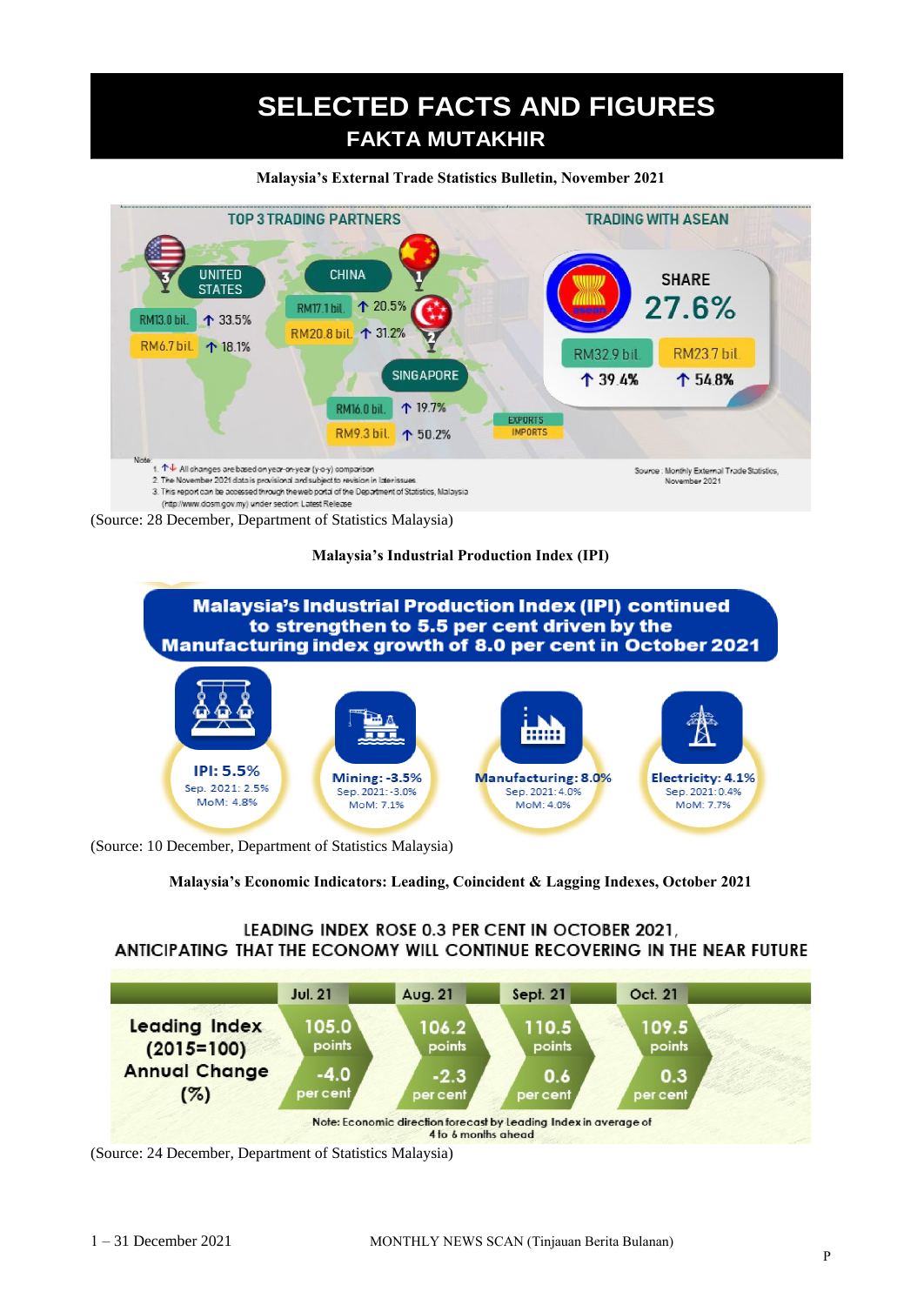# **SELECTED FACTS AND FIGURES FAKTA MUTAKHIR**

#### **Malaysia's External Trade Statistics Bulletin, November 2021**



(Source: 28 December, Department of Statistics Malaysia)

### **Malaysia's Industrial Production Index (IPI)**



(Source: 10 December, Department of Statistics Malaysia)

**Malaysia's Economic Indicators: Leading, Coincident & Lagging Indexes, October 2021**

### LEADING INDEX ROSE 0.3 PER CENT IN OCTOBER 2021, ANTICIPATING THAT THE ECONOMY WILL CONTINUE RECOVERING IN THE NEAR FUTURE



(Source: 24 December, Department of Statistics Malaysia)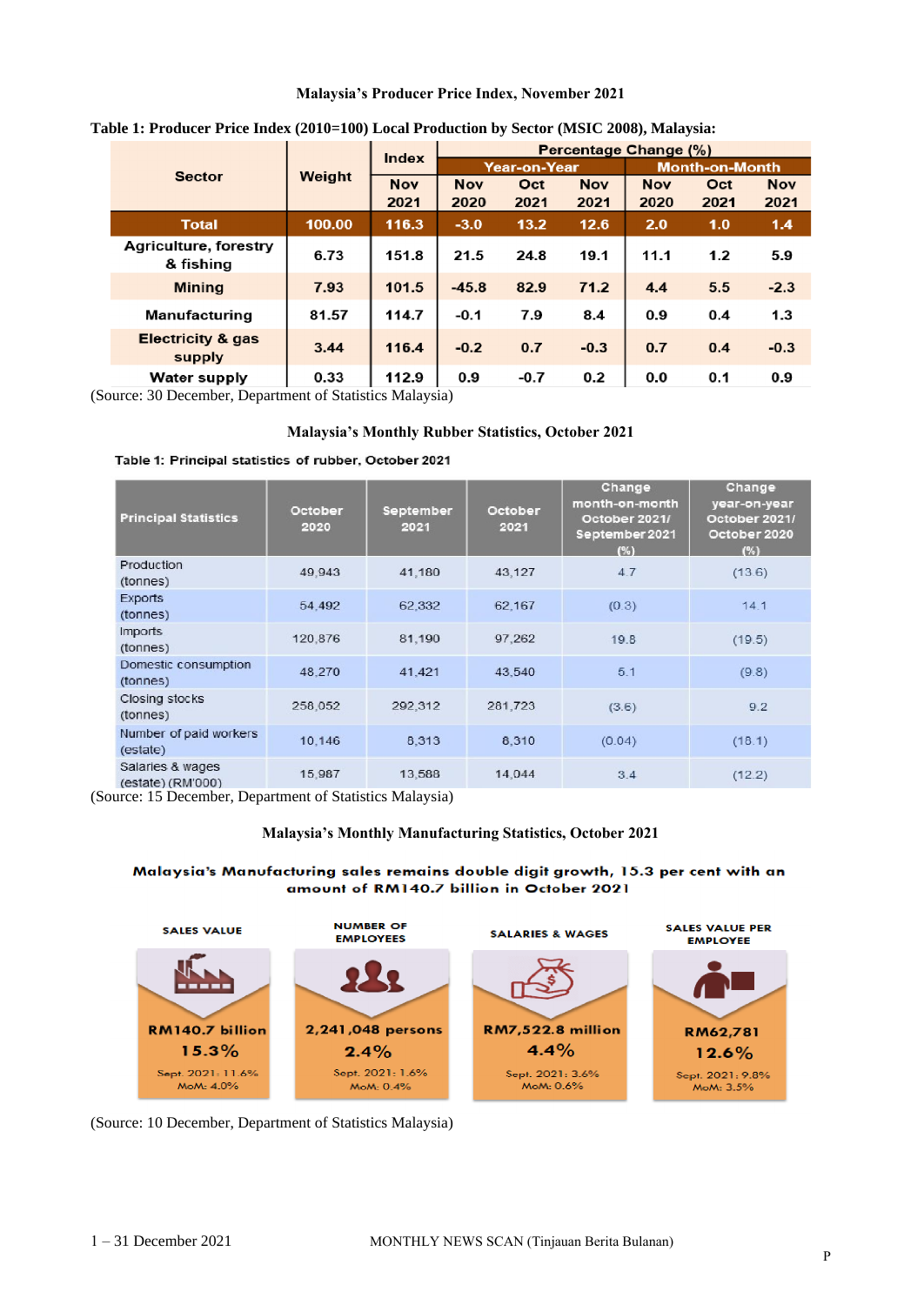#### **Malaysia's Producer Price Index, November 2021**

| <b>Sector</b>                          | Weight | <b>Index</b>       | Percentage Change (%) |             |                    |                       |             |                    |
|----------------------------------------|--------|--------------------|-----------------------|-------------|--------------------|-----------------------|-------------|--------------------|
|                                        |        |                    | Year-on-Year          |             |                    | <b>Month-on-Month</b> |             |                    |
|                                        |        | <b>Nov</b><br>2021 | <b>Nov</b><br>2020    | Oct<br>2021 | <b>Nov</b><br>2021 | <b>Nov</b><br>2020    | Oct<br>2021 | <b>Nov</b><br>2021 |
| <b>Total</b>                           | 100.00 | 116.3              | $-3.0$                | 13.2        | 12.6               | 2.0                   | 1.0         | 1.4                |
| Agriculture, forestry<br>& fishing     | 6.73   | 151.8              | 21.5                  | 24.8        | 19.1               | 11.1                  | 1.2         | 5.9                |
| <b>Mining</b>                          | 7.93   | 101.5              | $-45.8$               | 82.9        | 71.2               | 4.4                   | 5.5         | $-2.3$             |
| Manufacturing                          | 81.57  | 114.7              | $-0.1$                | 7.9         | 8.4                | 0.9                   | 0.4         | 1.3                |
| <b>Electricity &amp; gas</b><br>supply | 3.44   | 116.4              | $-0.2$                | 0.7         | $-0.3$             | 0.7                   | 0.4         | $-0.3$             |
| <b>Water supply</b>                    | 0.33   | 112.9              | 0.9                   | $-0.7$      | 0.2                | 0.0                   | 0.1         | 0.9                |

#### **Table 1: Producer Price Index (2010=100) Local Production by Sector (MSIC 2008), Malaysia:**

(Source: 30 December, Department of Statistics Malaysia)

#### **Malaysia's Monthly Rubber Statistics, October 2021**

#### Table 1: Principal statistics of rubber, October 2021

| <b>Principal Statistics</b>           | October<br>2020 | September<br>2021 | October<br>2021 | Change<br>month-on-month<br>October 2021/<br>September 2021<br>(%) | Change<br>year-on-year<br>October 2021/<br>October 2020<br>(%) |
|---------------------------------------|-----------------|-------------------|-----------------|--------------------------------------------------------------------|----------------------------------------------------------------|
| Production<br>(tonnes)                | 49,943          | 41,180            | 43,127          | 4.7                                                                | (13.6)                                                         |
| <b>Exports</b><br>(tonnes)            | 54,492          | 62,332            | 62,167          | (0.3)                                                              | 14.1                                                           |
| <b>Imports</b><br>(tonnes)            | 120,876         | 81,190            | 97,262          | 19.8                                                               | (19.5)                                                         |
| Domestic consumption<br>(tonnes)      | 48.270          | 41.421            | 43.540          | 5.1                                                                | (9.8)                                                          |
| Closing stocks<br>(tonnes)            | 258,052         | 292,312           | 281,723         | (3.6)                                                              | 9.2                                                            |
| Number of paid workers<br>(estate)    | 10,146          | 8,313             | 8,310           | (0.04)                                                             | (18.1)                                                         |
| Salaries & wages<br>(estate) (RM'000) | 15,987          | 13,588            | 14,044          | 3.4                                                                | (12.2)                                                         |

(Source: 15 December, Department of Statistics Malaysia)

#### **Malaysia's Monthly Manufacturing Statistics, October 2021**

#### Malaysia's Manufacturing sales remains double digit growth, 15.3 per cent with an amount of RM140.7 billion in October 2021



(Source: 10 December, Department of Statistics Malaysia)